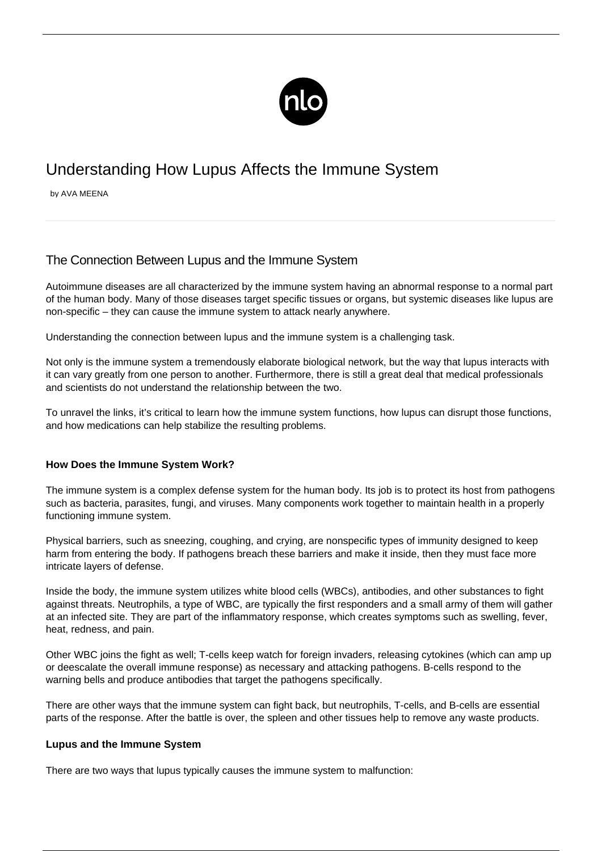

# Understanding How Lupus Affects the Immune System

by AVA MEENA

# The Connection Between Lupus and the Immune System

Autoimmune diseases are all characterized by the immune system having an abnormal response to a normal part of the human body. Many of those diseases target specific tissues or organs, but [systemic diseases like lupus](http://healthliving.today/what-is-lupus/) are non-specific – they can cause the immune system to attack nearly anywhere.

Understanding the connection between lupus and the immune system is a challenging task.

Not only is the immune system a tremendously elaborate biological network, but the way that lupus interacts with it can vary greatly from one person to another. Furthermore, there is still a great deal that medical professionals and scientists do not understand the relationship between the two.

To unravel the links, it's critical to learn how the immune system functions, how lupus can disrupt those functions, and how medications can help stabilize the resulting problems.

# **How Does the Immune System Work?**

The immune system is a complex defense system for the human body. Its job is to protect its host from pathogens such as bacteria, parasites, fungi, and viruses. Many components work together to maintain health in a properly functioning immune system.

Physical barriers, such as sneezing, coughing, and crying, are nonspecific types of immunity designed to keep harm from entering the body. If pathogens breach these barriers and make it inside, then they must face more intricate layers of defense.

Inside the body, the immune system utilizes white blood cells (WBCs), antibodies, and other substances to fight against threats. Neutrophils, a type of WBC, are typically the first responders and a small army of them will gather at an infected site. They are part of the inflammatory response, which creates symptoms such as swelling, fever, heat, redness, and pain.

Other WBC joins the fight as well; T-cells keep watch for foreign invaders, releasing cytokines (which can amp up or deescalate the overall immune response) as necessary and attacking pathogens. B-cells respond to the warning bells and produce antibodies that target the pathogens specifically.

There are other ways that the immune system can fight back, but neutrophils, T-cells, and B-cells are essential parts of the response. After the battle is over, the spleen and other tissues help to remove any waste products.

#### **Lupus and the Immune System**

There are two ways that lupus typically causes the immune system to malfunction: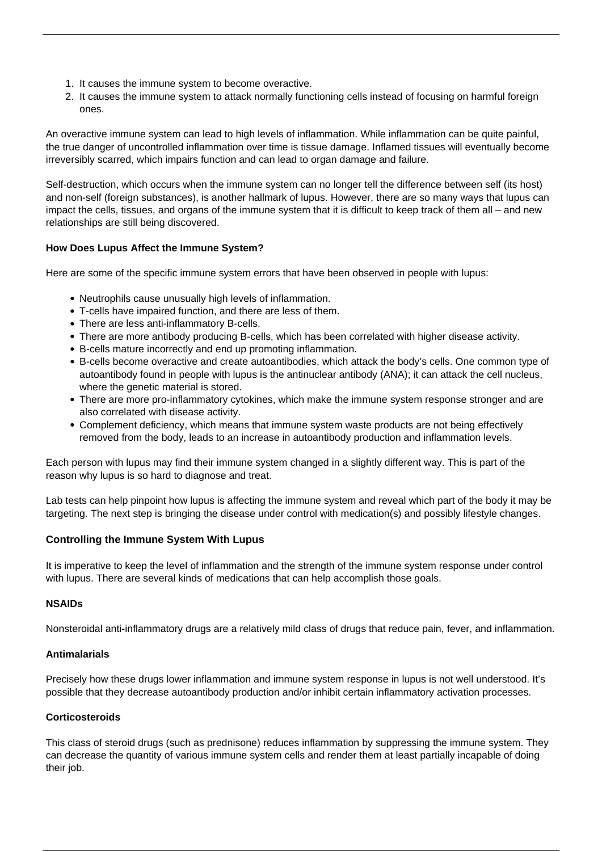- 1. It causes the immune system to become overactive.
- 2. It causes the immune system to attack normally functioning cells instead of focusing on harmful foreign ones.

An overactive immune system can lead to high levels of inflammation. While inflammation can be quite painful, the true danger of uncontrolled inflammation over time is tissue damage. Inflamed tissues will eventually become irreversibly scarred, which impairs function and can lead to organ damage and failure.

Self-destruction, which occurs when the immune system can no longer tell the difference between self (its host) and non-self (foreign substances), is another hallmark of lupus. However, there are so many ways that lupus can impact the cells, tissues, and organs of the immune system that it is difficult to keep track of them all – and new relationships are still being discovered.

### **How Does Lupus Affect the Immune System?**

Here are some of the specific immune system errors that have been observed in people with lupus:

- Neutrophils cause unusually high levels of inflammation.
- T-cells have impaired function, and there are less of them.
- There are less anti-inflammatory B-cells.
- There are more antibody producing B-cells, which has been correlated with higher disease activity.
- B-cells mature incorrectly and end up promoting inflammation.
- B-cells become overactive and create autoantibodies, which attack the body's cells. One common type of autoantibody found in people with lupus is the antinuclear antibody (ANA); it can attack the cell nucleus, where the genetic material is stored.
- There are more pro-inflammatory cytokines, which make the immune system response stronger and are also correlated with disease activity.
- Complement deficiency, which means that immune system waste products are not being effectively removed from the body, leads to an increase in autoantibody production and inflammation levels.

Each person with lupus may find their immune system changed in a slightly different way. This is part of the reason why lupus is so hard to diagnose and treat.

Lab tests can help pinpoint how lupus is affecting the immune system and reveal which part of the body it may be targeting. The next step is bringing the disease under control with medication(s) and possibly lifestyle changes.

# **Controlling the Immune System With Lupus**

It is imperative to keep the level of inflammation and the strength of the immune system response under control with lupus. There are several kinds of [medications](/keep-treatment-track/) that can help accomplish those goals.

#### **NSAIDs**

Nonsteroidal anti-inflammatory drugs are a relatively mild class of drugs that reduce pain, fever, and inflammation.

#### **Antimalarials**

Precisely how these drugs lower inflammation and immune system response in lupus is not well understood. It's possible that they decrease autoantibody production and/or inhibit certain inflammatory activation processes.

#### **Corticosteroids**

This class of steroid drugs (such as prednisone) reduces inflammation by suppressing the immune system. They can decrease the quantity of various immune system cells and render them at least partially incapable of doing their job.